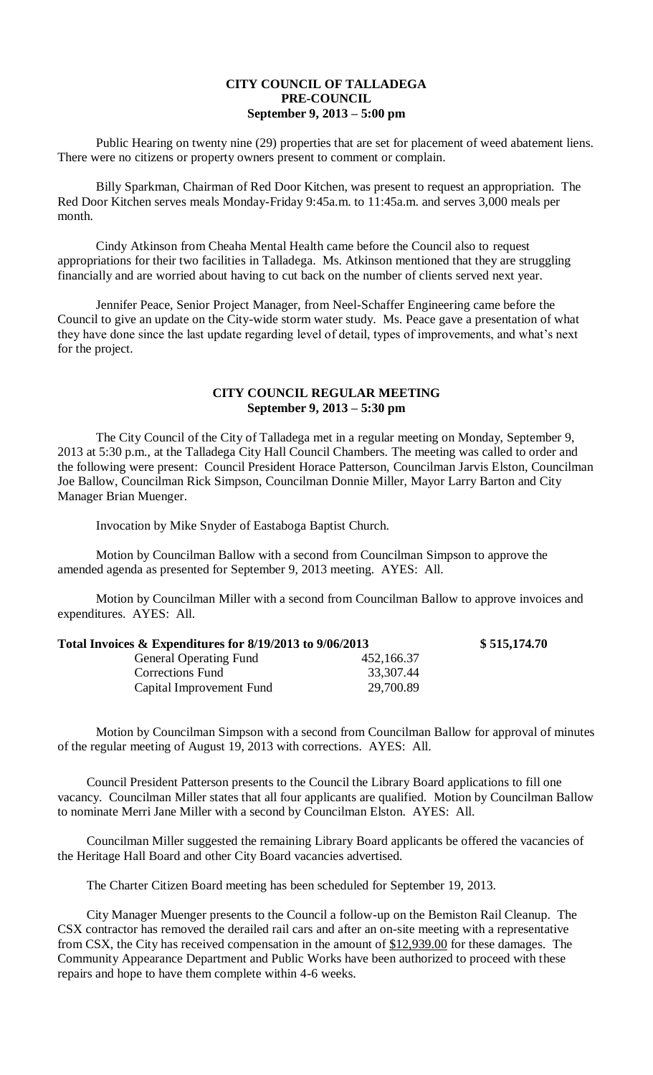## **CITY COUNCIL OF TALLADEGA PRE-COUNCIL September 9, 2013 – 5:00 pm**

Public Hearing on twenty nine (29) properties that are set for placement of weed abatement liens. There were no citizens or property owners present to comment or complain.

Billy Sparkman, Chairman of Red Door Kitchen, was present to request an appropriation. The Red Door Kitchen serves meals Monday-Friday 9:45a.m. to 11:45a.m. and serves 3,000 meals per month.

Cindy Atkinson from Cheaha Mental Health came before the Council also to request appropriations for their two facilities in Talladega. Ms. Atkinson mentioned that they are struggling financially and are worried about having to cut back on the number of clients served next year.

Jennifer Peace, Senior Project Manager, from Neel-Schaffer Engineering came before the Council to give an update on the City-wide storm water study. Ms. Peace gave a presentation of what they have done since the last update regarding level of detail, types of improvements, and what's next for the project.

## **CITY COUNCIL REGULAR MEETING September 9, 2013 – 5:30 pm**

The City Council of the City of Talladega met in a regular meeting on Monday, September 9, 2013 at 5:30 p.m., at the Talladega City Hall Council Chambers. The meeting was called to order and the following were present: Council President Horace Patterson, Councilman Jarvis Elston, Councilman Joe Ballow, Councilman Rick Simpson, Councilman Donnie Miller, Mayor Larry Barton and City Manager Brian Muenger.

Invocation by Mike Snyder of Eastaboga Baptist Church.

Motion by Councilman Ballow with a second from Councilman Simpson to approve the amended agenda as presented for September 9, 2013 meeting. AYES: All.

Motion by Councilman Miller with a second from Councilman Ballow to approve invoices and expenditures. AYES: All.

| Total Invoices $\&$ Expenditures for 8/19/2013 to 9/06/2013 |            | \$515,174.70 |
|-------------------------------------------------------------|------------|--------------|
| <b>General Operating Fund</b>                               | 452,166.37 |              |
| <b>Corrections Fund</b>                                     | 33,307.44  |              |
| Capital Improvement Fund                                    | 29,700.89  |              |

Motion by Councilman Simpson with a second from Councilman Ballow for approval of minutes of the regular meeting of August 19, 2013 with corrections. AYES: All.

Council President Patterson presents to the Council the Library Board applications to fill one vacancy. Councilman Miller states that all four applicants are qualified. Motion by Councilman Ballow to nominate Merri Jane Miller with a second by Councilman Elston. AYES: All.

Councilman Miller suggested the remaining Library Board applicants be offered the vacancies of the Heritage Hall Board and other City Board vacancies advertised.

The Charter Citizen Board meeting has been scheduled for September 19, 2013.

City Manager Muenger presents to the Council a follow-up on the Bemiston Rail Cleanup. The CSX contractor has removed the derailed rail cars and after an on-site meeting with a representative from CSX, the City has received compensation in the amount of \$12,939.00 for these damages. The Community Appearance Department and Public Works have been authorized to proceed with these repairs and hope to have them complete within 4-6 weeks.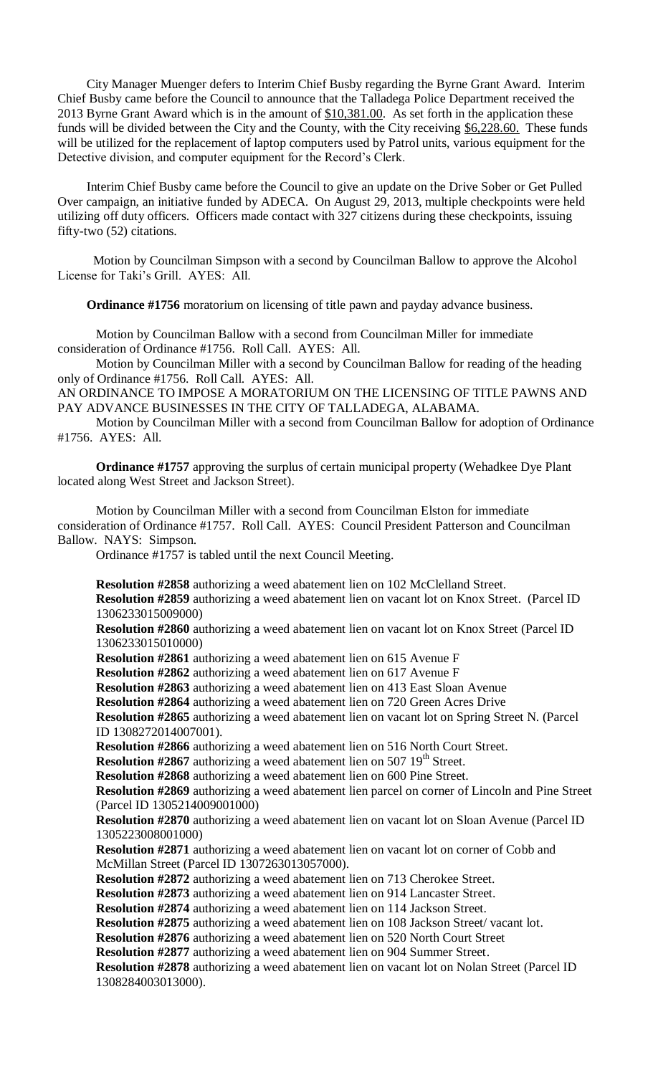City Manager Muenger defers to Interim Chief Busby regarding the Byrne Grant Award. Interim Chief Busby came before the Council to announce that the Talladega Police Department received the 2013 Byrne Grant Award which is in the amount of \$10,381.00. As set forth in the application these funds will be divided between the City and the County, with the City receiving \$6,228.60. These funds will be utilized for the replacement of laptop computers used by Patrol units, various equipment for the Detective division, and computer equipment for the Record's Clerk.

Interim Chief Busby came before the Council to give an update on the Drive Sober or Get Pulled Over campaign, an initiative funded by ADECA. On August 29, 2013, multiple checkpoints were held utilizing off duty officers. Officers made contact with 327 citizens during these checkpoints, issuing fifty-two (52) citations.

 Motion by Councilman Simpson with a second by Councilman Ballow to approve the Alcohol License for Taki's Grill. AYES: All.

**Ordinance #1756** moratorium on licensing of title pawn and payday advance business.

Motion by Councilman Ballow with a second from Councilman Miller for immediate consideration of Ordinance #1756. Roll Call. AYES: All.

Motion by Councilman Miller with a second by Councilman Ballow for reading of the heading only of Ordinance #1756. Roll Call. AYES: All.

AN ORDINANCE TO IMPOSE A MORATORIUM ON THE LICENSING OF TITLE PAWNS AND PAY ADVANCE BUSINESSES IN THE CITY OF TALLADEGA, ALABAMA.

Motion by Councilman Miller with a second from Councilman Ballow for adoption of Ordinance #1756. AYES: All.

**Ordinance #1757** approving the surplus of certain municipal property (Wehadkee Dye Plant located along West Street and Jackson Street).

Motion by Councilman Miller with a second from Councilman Elston for immediate consideration of Ordinance #1757. Roll Call. AYES: Council President Patterson and Councilman Ballow. NAYS: Simpson.

Ordinance #1757 is tabled until the next Council Meeting.

**Resolution #2858** authorizing a weed abatement lien on 102 McClelland Street.

**Resolution #2859** authorizing a weed abatement lien on vacant lot on Knox Street. (Parcel ID 1306233015009000)

**Resolution #2860** authorizing a weed abatement lien on vacant lot on Knox Street (Parcel ID 1306233015010000)

**Resolution #2861** authorizing a weed abatement lien on 615 Avenue F

**Resolution #2862** authorizing a weed abatement lien on 617 Avenue F

**Resolution #2863** authorizing a weed abatement lien on 413 East Sloan Avenue

**Resolution #2864** authorizing a weed abatement lien on 720 Green Acres Drive

**Resolution #2865** authorizing a weed abatement lien on vacant lot on Spring Street N. (Parcel ID 1308272014007001).

**Resolution #2866** authorizing a weed abatement lien on 516 North Court Street.

**Resolution #2867** authorizing a weed abatement lien on 507 19<sup>th</sup> Street.

**Resolution #2868** authorizing a weed abatement lien on 600 Pine Street.

**Resolution #2869** authorizing a weed abatement lien parcel on corner of Lincoln and Pine Street (Parcel ID 1305214009001000)

**Resolution #2870** authorizing a weed abatement lien on vacant lot on Sloan Avenue (Parcel ID 1305223008001000)

**Resolution #2871** authorizing a weed abatement lien on vacant lot on corner of Cobb and McMillan Street (Parcel ID 1307263013057000).

**Resolution #2872** authorizing a weed abatement lien on 713 Cherokee Street.

**Resolution #2873** authorizing a weed abatement lien on 914 Lancaster Street.

**Resolution #2874** authorizing a weed abatement lien on 114 Jackson Street.

**Resolution #2875** authorizing a weed abatement lien on 108 Jackson Street/ vacant lot.

**Resolution #2876** authorizing a weed abatement lien on 520 North Court Street

**Resolution #2877** authorizing a weed abatement lien on 904 Summer Street.

**Resolution #2878** authorizing a weed abatement lien on vacant lot on Nolan Street (Parcel ID 1308284003013000).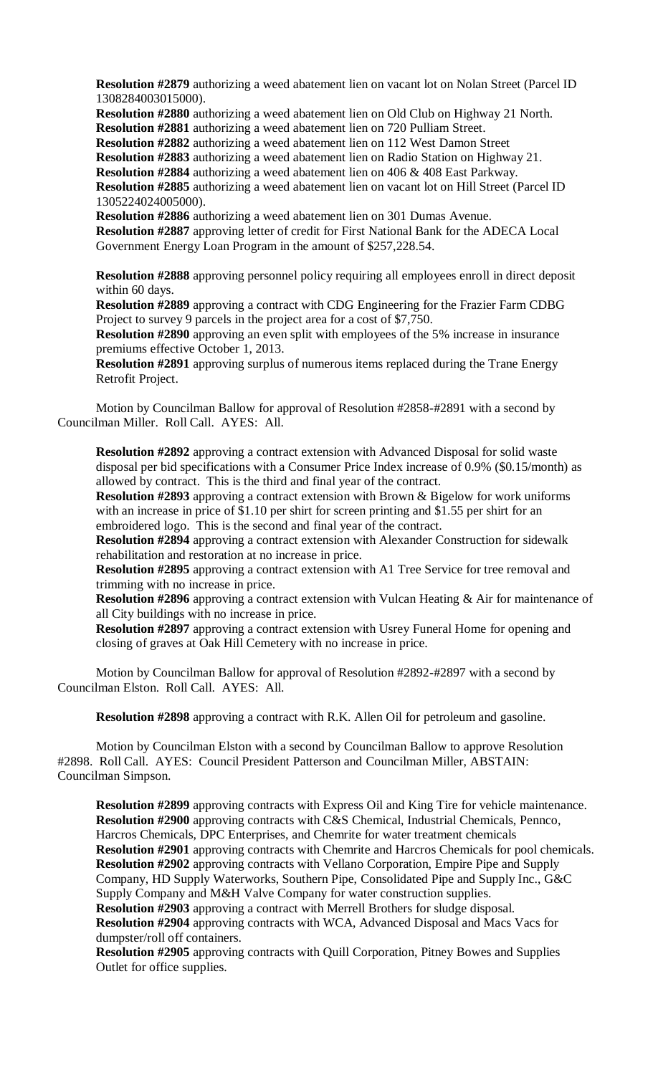**Resolution #2879** authorizing a weed abatement lien on vacant lot on Nolan Street (Parcel ID 1308284003015000).

**Resolution #2880** authorizing a weed abatement lien on Old Club on Highway 21 North. **Resolution #2881** authorizing a weed abatement lien on 720 Pulliam Street.

**Resolution #2882** authorizing a weed abatement lien on 112 West Damon Street

**Resolution #2883** authorizing a weed abatement lien on Radio Station on Highway 21.

**Resolution #2884** authorizing a weed abatement lien on 406 & 408 East Parkway.

**Resolution #2885** authorizing a weed abatement lien on vacant lot on Hill Street (Parcel ID 1305224024005000).

**Resolution #2886** authorizing a weed abatement lien on 301 Dumas Avenue. **Resolution #2887** approving letter of credit for First National Bank for the ADECA Local Government Energy Loan Program in the amount of \$257,228.54.

**Resolution #2888** approving personnel policy requiring all employees enroll in direct deposit within 60 days.

**Resolution #2889** approving a contract with CDG Engineering for the Frazier Farm CDBG Project to survey 9 parcels in the project area for a cost of \$7,750.

**Resolution #2890** approving an even split with employees of the 5% increase in insurance premiums effective October 1, 2013.

**Resolution #2891** approving surplus of numerous items replaced during the Trane Energy Retrofit Project.

Motion by Councilman Ballow for approval of Resolution #2858-#2891 with a second by Councilman Miller. Roll Call. AYES: All.

**Resolution #2892** approving a contract extension with Advanced Disposal for solid waste disposal per bid specifications with a Consumer Price Index increase of 0.9% (\$0.15/month) as allowed by contract. This is the third and final year of the contract.

**Resolution #2893** approving a contract extension with Brown & Bigelow for work uniforms with an increase in price of \$1.10 per shirt for screen printing and \$1.55 per shirt for an embroidered logo. This is the second and final year of the contract.

**Resolution #2894** approving a contract extension with Alexander Construction for sidewalk rehabilitation and restoration at no increase in price.

**Resolution #2895** approving a contract extension with A1 Tree Service for tree removal and trimming with no increase in price.

**Resolution #2896** approving a contract extension with Vulcan Heating & Air for maintenance of all City buildings with no increase in price.

**Resolution #2897** approving a contract extension with Usrey Funeral Home for opening and closing of graves at Oak Hill Cemetery with no increase in price.

Motion by Councilman Ballow for approval of Resolution #2892-#2897 with a second by Councilman Elston. Roll Call. AYES: All.

**Resolution #2898** approving a contract with R.K. Allen Oil for petroleum and gasoline.

Motion by Councilman Elston with a second by Councilman Ballow to approve Resolution #2898. Roll Call. AYES: Council President Patterson and Councilman Miller, ABSTAIN: Councilman Simpson.

**Resolution #2899** approving contracts with Express Oil and King Tire for vehicle maintenance. **Resolution #2900** approving contracts with C&S Chemical, Industrial Chemicals, Pennco, Harcros Chemicals, DPC Enterprises, and Chemrite for water treatment chemicals **Resolution #2901** approving contracts with Chemrite and Harcros Chemicals for pool chemicals. **Resolution #2902** approving contracts with Vellano Corporation, Empire Pipe and Supply Company, HD Supply Waterworks, Southern Pipe, Consolidated Pipe and Supply Inc., G&C Supply Company and M&H Valve Company for water construction supplies. **Resolution #2903** approving a contract with Merrell Brothers for sludge disposal. **Resolution #2904** approving contracts with WCA, Advanced Disposal and Macs Vacs for dumpster/roll off containers.

**Resolution #2905** approving contracts with Quill Corporation, Pitney Bowes and Supplies Outlet for office supplies.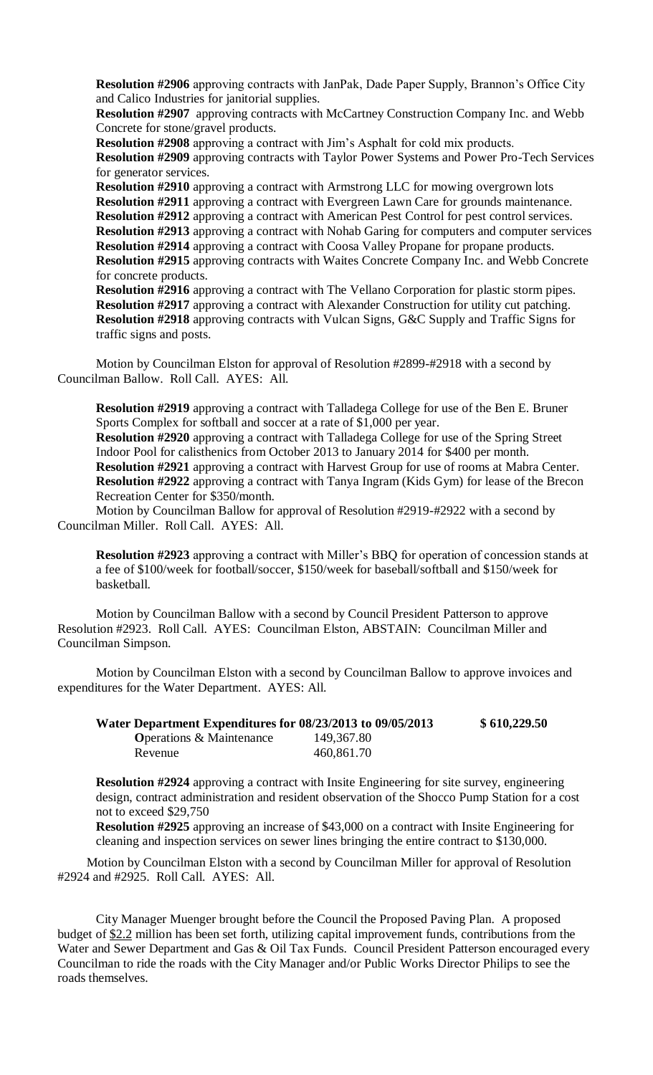**Resolution #2906** approving contracts with JanPak, Dade Paper Supply, Brannon's Office City and Calico Industries for janitorial supplies.

**Resolution #2907** approving contracts with McCartney Construction Company Inc. and Webb Concrete for stone/gravel products.

**Resolution #2908** approving a contract with Jim's Asphalt for cold mix products. **Resolution #2909** approving contracts with Taylor Power Systems and Power Pro-Tech Services for generator services.

**Resolution #2910** approving a contract with Armstrong LLC for mowing overgrown lots **Resolution #2911** approving a contract with Evergreen Lawn Care for grounds maintenance. **Resolution #2912** approving a contract with American Pest Control for pest control services. **Resolution #2913** approving a contract with Nohab Garing for computers and computer services **Resolution #2914** approving a contract with Coosa Valley Propane for propane products. **Resolution #2915** approving contracts with Waites Concrete Company Inc. and Webb Concrete for concrete products.

**Resolution #2916** approving a contract with The Vellano Corporation for plastic storm pipes. **Resolution #2917** approving a contract with Alexander Construction for utility cut patching. **Resolution #2918** approving contracts with Vulcan Signs, G&C Supply and Traffic Signs for traffic signs and posts.

Motion by Councilman Elston for approval of Resolution #2899-#2918 with a second by Councilman Ballow. Roll Call. AYES: All.

**Resolution #2919** approving a contract with Talladega College for use of the Ben E. Bruner Sports Complex for softball and soccer at a rate of \$1,000 per year.

**Resolution #2920** approving a contract with Talladega College for use of the Spring Street Indoor Pool for calisthenics from October 2013 to January 2014 for \$400 per month. **Resolution #2921** approving a contract with Harvest Group for use of rooms at Mabra Center. **Resolution #2922** approving a contract with Tanya Ingram (Kids Gym) for lease of the Brecon Recreation Center for \$350/month.

Motion by Councilman Ballow for approval of Resolution #2919-#2922 with a second by Councilman Miller. Roll Call. AYES: All.

**Resolution #2923** approving a contract with Miller's BBQ for operation of concession stands at a fee of \$100/week for football/soccer, \$150/week for baseball/softball and \$150/week for basketball.

Motion by Councilman Ballow with a second by Council President Patterson to approve Resolution #2923. Roll Call. AYES: Councilman Elston, ABSTAIN: Councilman Miller and Councilman Simpson.

Motion by Councilman Elston with a second by Councilman Ballow to approve invoices and expenditures for the Water Department. AYES: All.

| Water Department Expenditures for 08/23/2013 to 09/05/2013 |            | \$610,229.50 |
|------------------------------------------------------------|------------|--------------|
| <b>O</b> perations & Maintenance                           | 149,367.80 |              |
| Revenue                                                    | 460,861.70 |              |

**Resolution #2924** approving a contract with Insite Engineering for site survey, engineering design, contract administration and resident observation of the Shocco Pump Station for a cost not to exceed \$29,750

**Resolution #2925** approving an increase of \$43,000 on a contract with Insite Engineering for cleaning and inspection services on sewer lines bringing the entire contract to \$130,000.

Motion by Councilman Elston with a second by Councilman Miller for approval of Resolution #2924 and #2925. Roll Call. AYES: All.

City Manager Muenger brought before the Council the Proposed Paving Plan. A proposed budget of \$2.2 million has been set forth, utilizing capital improvement funds, contributions from the Water and Sewer Department and Gas & Oil Tax Funds. Council President Patterson encouraged every Councilman to ride the roads with the City Manager and/or Public Works Director Philips to see the roads themselves.